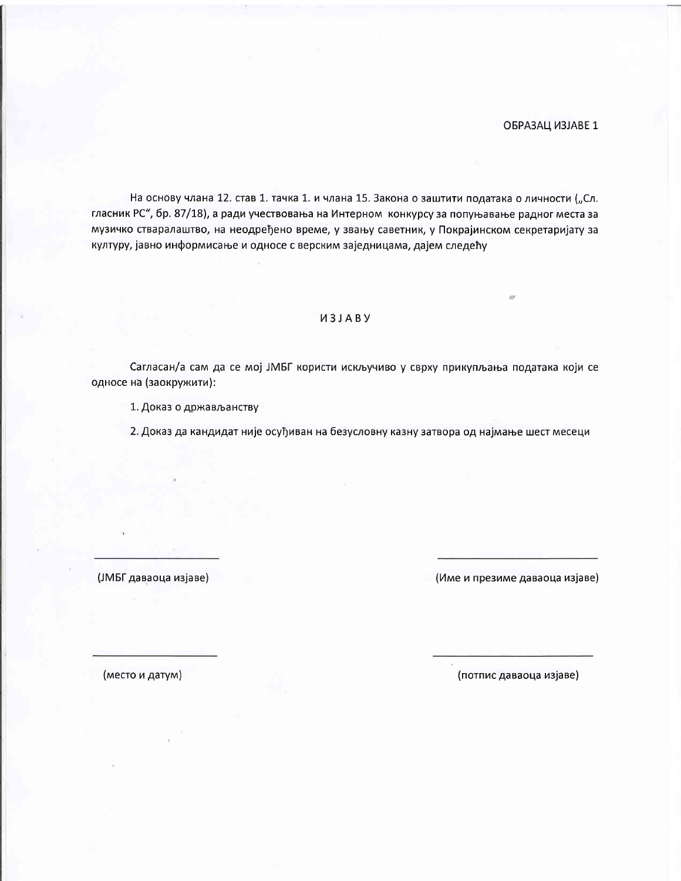ОБРАЗАЦ ИЗЈАВЕ 1

На основу члана 12. став 1. тачка 1. и члана 15. Закона о заштити података о личности ("Сл. гласник РС", бр. 87/18), а ради учествовања на Интерном конкурсу за попуњавање радног места за музичко стваралаштво, на неодређено време, у звању саветник, у Покрајинском секретаријату за културу, јавно информисање и односе с верским заједницама, дајем следећу

## *<u>U3JABY</u>*

Сагласан/а сам да се мој ЈМБГ користи искључиво у сврху прикупљања података који се односе на (заокружити):

1. Доказ о држављанству

2. Доказ да кандидат није осуђиван на безусловну казну затвора од најмање шест месеци

(ЈМБГ даваоца изјаве)

(Име и презиме даваоца изјаве)

(место и датум)

(потпис даваоца изјаве)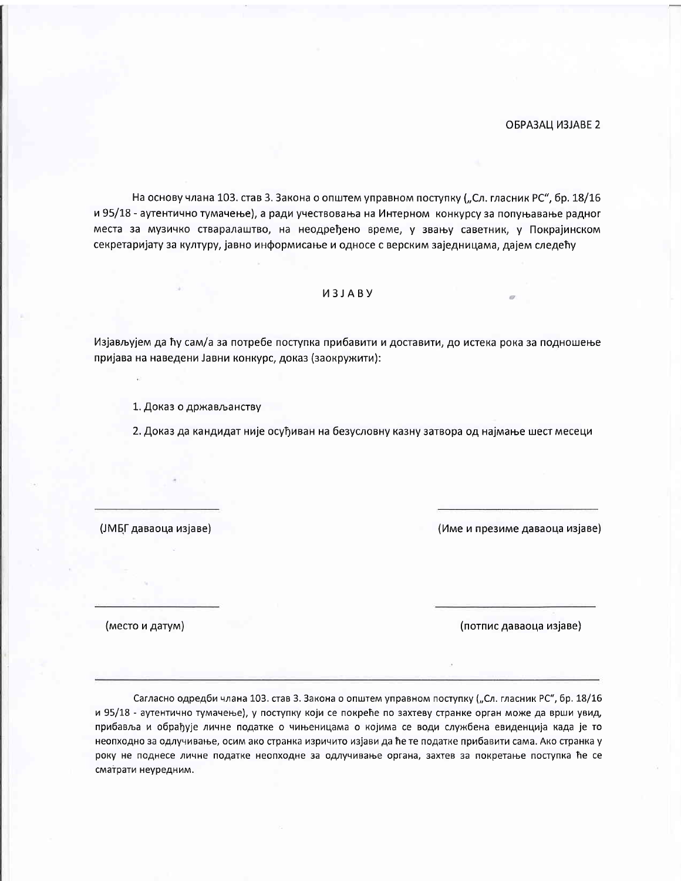На основу члана 103. став 3. Закона о општем управном поступку ("Сл. гласник РС", бр. 18/16 и 95/18 - аутентично тумачење), а ради учествовања на Интерном конкурсу за попуњавање радног места за музичко стваралаштво, на неодређено време, у звању саветник, у Покрајинском секретаријату за културу, јавно информисање и односе с верским заједницама, дајем следећу

## *U3JABY*

Изјављујем да ћу сам/а за потребе поступка прибавити и доставити, до истека рока за подношење пријава на наведени Јавни конкурс, доказ (заокружити):

1. Доказ о држављанству

2. Доказ да кандидат није осуђиван на безусловну казну затвора од најмање шест месеци

(ЈМБГ даваоца изјаве)

(Име и презиме даваоца изјаве)

(место и датум)

(потпис даваоца изјаве)

Сагласно одредби члана 103. став 3. Закона о општем управном поступку ("Сл. гласник РС", бр. 18/16 и 95/18 - аутентично тумачење), у поступку који се покреће по захтеву странке орган може да врши увид, прибавља и обрађује личне податке о чињеницама о којима се води службена евиденција када је то неопходно за одлучивање, осим ако странка изричито изјави да ће те податке прибавити сама. Ако странка у року не поднесе личне податке неопходне за одлучивање органа, захтев за покретање поступка ће се сматрати неуредним.